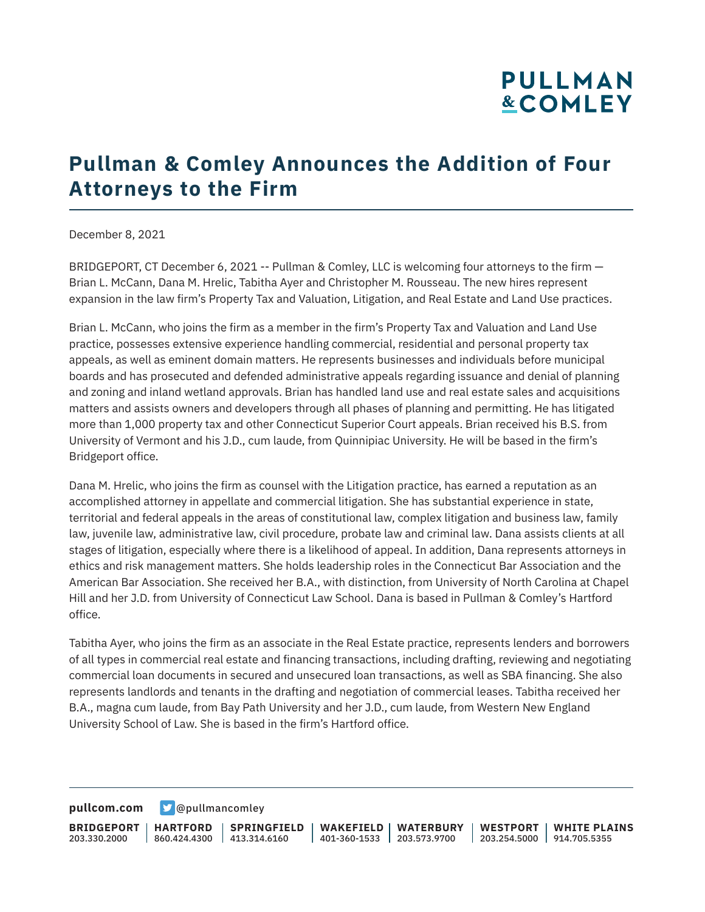# **PULLMAN &COMLEY**

## **Pullman & Comley Announces the Addition of Four Attorneys to the Firm**

December 8, 2021

BRIDGEPORT, CT December 6, 2021 -- Pullman & Comley, LLC is welcoming four attorneys to the firm -Brian L. McCann, Dana M. Hrelic, Tabitha Ayer and Christopher M. Rousseau. The new hires represent expansion in the law firm's Property Tax and Valuation, Litigation, and Real Estate and Land Use practices.

Brian L. McCann, who joins the firm as a member in the firm's Property Tax and Valuation and Land Use practice, possesses extensive experience handling commercial, residential and personal property tax appeals, as well as eminent domain matters. He represents businesses and individuals before municipal boards and has prosecuted and defended administrative appeals regarding issuance and denial of planning and zoning and inland wetland approvals. Brian has handled land use and real estate sales and acquisitions matters and assists owners and developers through all phases of planning and permitting. He has litigated more than 1,000 property tax and other Connecticut Superior Court appeals. Brian received his B.S. from University of Vermont and his J.D., cum laude, from Quinnipiac University. He will be based in the firm's Bridgeport office.

Dana M. Hrelic, who joins the firm as counsel with the Litigation practice, has earned a reputation as an accomplished attorney in appellate and commercial litigation. She has substantial experience in state, territorial and federal appeals in the areas of constitutional law, complex litigation and business law, family law, juvenile law, administrative law, civil procedure, probate law and criminal law. Dana assists clients at all stages of litigation, especially where there is a likelihood of appeal. In addition, Dana represents attorneys in ethics and risk management matters. She holds leadership roles in the Connecticut Bar Association and the American Bar Association. She received her B.A., with distinction, from University of North Carolina at Chapel Hill and her J.D. from University of Connecticut Law School. Dana is based in Pullman & Comley's Hartford office.

Tabitha Ayer, who joins the firm as an associate in the Real Estate practice, represents lenders and borrowers of all types in commercial real estate and financing transactions, including drafting, reviewing and negotiating commercial loan documents in secured and unsecured loan transactions, as well as SBA financing. She also represents landlords and tenants in the drafting and negotiation of commercial leases. Tabitha received her B.A., magna cum laude, from Bay Path University and her J.D., cum laude, from Western New England University School of Law. She is based in the firm's Hartford office.

**[pullcom.com](https://www.pullcom.com) g** [@pullmancomley](https://twitter.com/PullmanComley)

**BRIDGEPORT** 203.330.2000 **HARTFORD** 860.424.4300 413.314.6160 **SPRINGFIELD WAKEFIELD WATERBURY** 401-360-1533 203.573.9700 **WESTPORT WHITE PLAINS** 203.254.5000 914.705.5355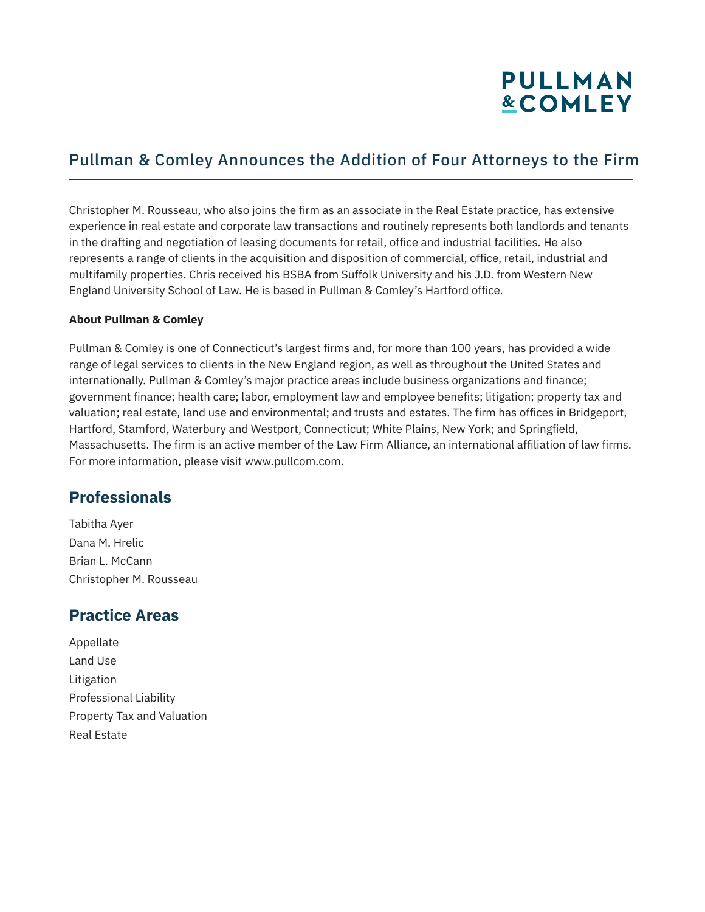# **PULLMAN &COMLEY**

## Pullman & Comley Announces the Addition of Four Attorneys to the Firm

Christopher M. Rousseau, who also joins the firm as an associate in the Real Estate practice, has extensive experience in real estate and corporate law transactions and routinely represents both landlords and tenants in the drafting and negotiation of leasing documents for retail, office and industrial facilities. He also represents a range of clients in the acquisition and disposition of commercial, office, retail, industrial and multifamily properties. Chris received his BSBA from Suffolk University and his J.D. from Western New England University School of Law. He is based in Pullman & Comley's Hartford office.

#### **About Pullman & Comley**

Pullman & Comley is one of Connecticut's largest firms and, for more than 100 years, has provided a wide range of legal services to clients in the New England region, as well as throughout the United States and internationally. Pullman & Comley's major practice areas include business organizations and finance; government finance; health care; labor, employment law and employee benefits; litigation; property tax and valuation; real estate, land use and environmental; and trusts and estates. The firm has offices in Bridgeport, Hartford, Stamford, Waterbury and Westport, Connecticut; White Plains, New York; and Springfield, Massachusetts. The firm is an active member of the Law Firm Alliance, an international affiliation of law firms. For more information, please visit www.pullcom.com.

### **Professionals**

Tabitha Ayer Dana M. Hrelic Brian L. McCann Christopher M. Rousseau

### **Practice Areas**

Appellate Land Use Litigation Professional Liability Property Tax and Valuation Real Estate